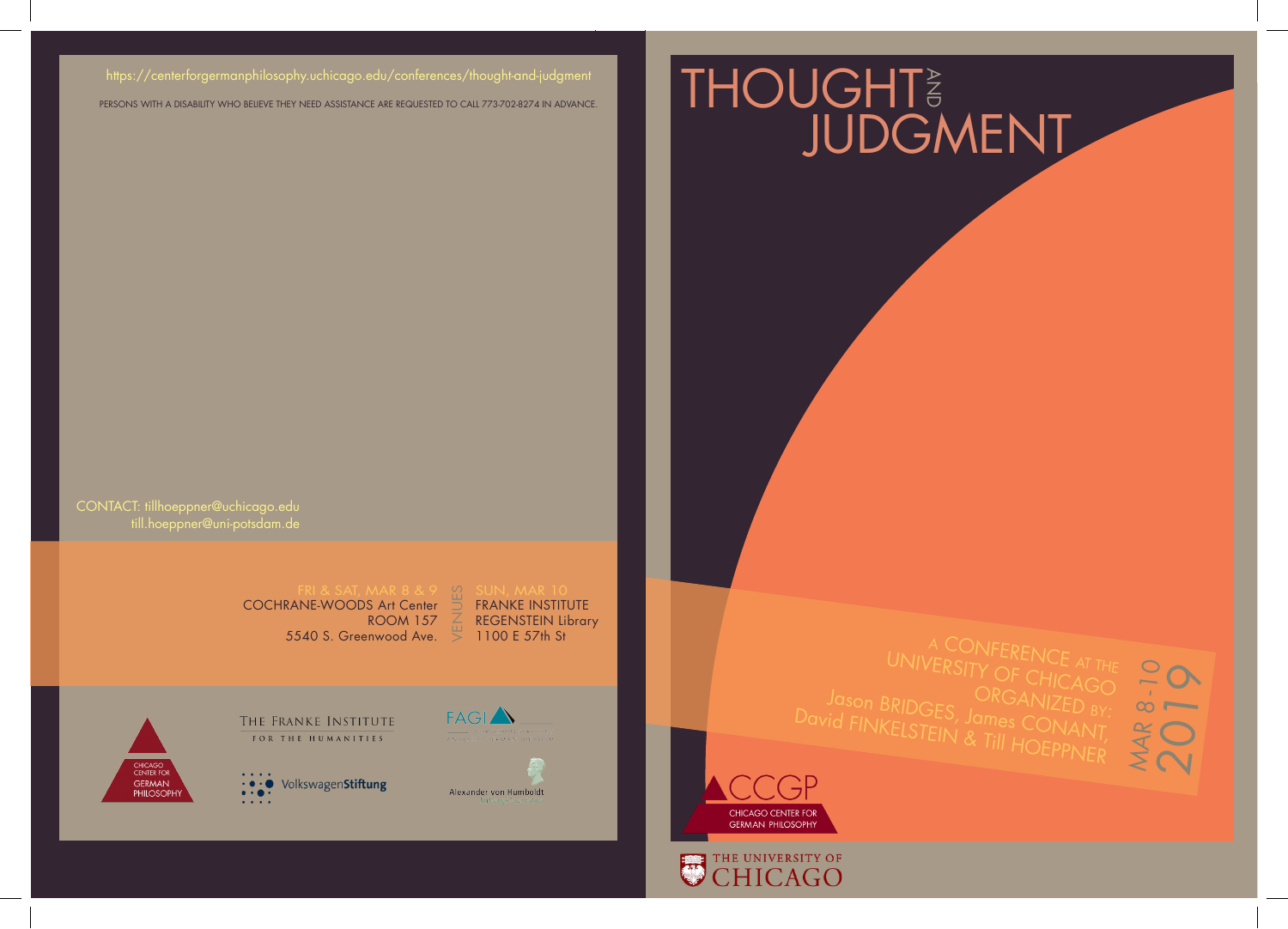### https://centerforgermanphilosophy.uchicago.edu/conferences/thought-and-judgment

PERSONS WITH A DISABILITY WHO BELIEVE THEY NEED ASSISTANCE ARE REQUESTED TO CALL 773-702-8274 IN ADVANCE.

# THOUGHT<sub>3</sub><br>JUDGMENT

till.hoeppner@uni-potsdam.de CONTACT: tillhoeppner@uchicago.edu

COCHRANE-WOODS Art Center ROOM 157 5540 S. Greenwood Ave.

VENUES FRANKE INSTITUTE REGENSTEIN Library 1100 E 57th St



THE FRANKE INSTITUTE FOR THE HUMANITIES





MAR 8-10



## THE UNIVERSITY OF